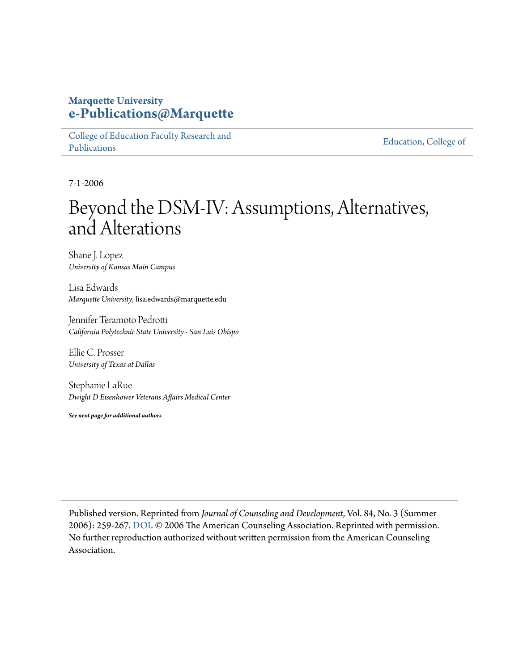# **Marquette University [e-Publications@Marquette](https://epublications.marquette.edu)**

[College of Education Faculty Research and](https://epublications.marquette.edu/edu_fac) [Publications](https://epublications.marquette.edu/edu_fac)

[Education, College of](https://epublications.marquette.edu/education)

7-1-2006

# Beyond the DSM-IV: Assumptions, Alternatives, and Alterations

Shane J. Lopez *University of Kansas Main Campus*

Lisa Edwards *Marquette University*, lisa.edwards@marquette.edu

Jennifer Teramoto Pedrotti *California Polytechnic State University - San Luis Obispo*

Ellie C. Prosser *University of Texas at Dallas*

Stephanie LaRue *Dwight D Eisenhower Veterans Affairs Medical Center*

*See next page for additional authors*

Published version. Reprinted from *Journal of Counseling and Development*, Vol. 84, No. 3 (Summer 2006): 259-267. [DOI](http://dx.doi.org/10.1002/j.1556-6678.2006.tb00404.x). © 2006 The American Counseling Association. Reprinted with permission. No further reproduction authorized without written permission from the American Counseling Association.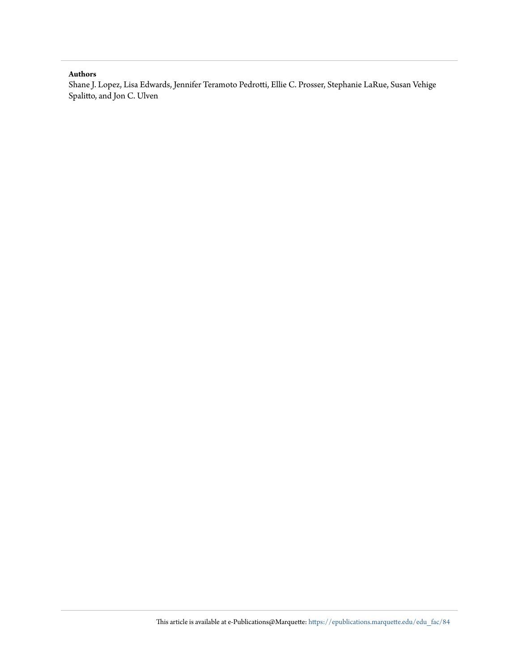## **Authors**

Shane J. Lopez, Lisa Edwards, Jennifer Teramoto Pedrotti, Ellie C. Prosser, Stephanie LaRue, Susan Vehige Spalitto, and Jon C. Ulven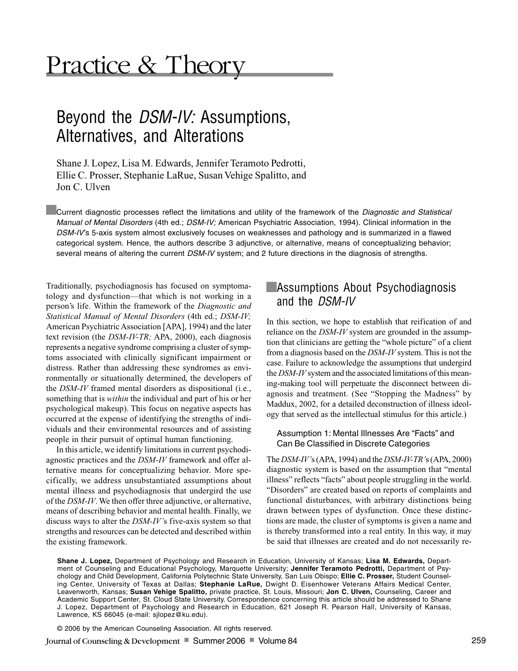# Practice & Theory

# Beyond the *DSM-IV:* Assumptions, Alternatives, and Alterations

Shane J. Lopez, Lisa M. Edwards, Jennifer Teramoto Pedrotti, Ellie C. Prosser, Stephanie LaRue, Susan Vehige Spalitto, and Jon C. Ulven

Current diagnostic processes reflect the limitations and utility of the framework of the Diagnostic and Statistical Manual of Mental Disorders (4th ed.; DSM-IV; American Psychiatric Association, 1994). Clinical information in the DSM-IV's 5-axis system almost exclusively focuses on weaknesses and pathology and is summarized in a flawed categorical system. Hence, the authors describe 3 adjunctive, or alternative, means of conceptualizing behavior; several means of altering the current DSM-IV system; and 2 future directions in the diagnosis of strengths.

Traditionally, psychodiagnosis has focused on symptomatology and dysfunction—that which is not working in a person's life. Within the framework of the *Diagnostic and Statistical Manual of Mental Disorders* (4th ed.; *DSM-IV;* American Psychiatric Association [APA], 1994) and the later text revision (the *DSM-IV-TR;* APA, 2000), each diagnosis represents a negative syndrome comprising a cluster of symptoms associated with clinically significant impairment or distress. Rather than addressing these syndromes as environmentally or situationally determined, the developers of the *DSM-IV* framed mental disorders as dispositional (i.e., something that is *within* the individual and part of his or her psychological makeup). This focus on negative aspects has occurred at the expense of identifying the strengths of individuals and their environmental resources and of assisting people in their pursuit of optimal human functioning.

In this article, we identify limitations in current psychodiagnostic practices and the *DSM-IV* framework and offer alternative means for conceptualizing behavior. More specifically, we address unsubstantiated assumptions about mental illness and psychodiagnosis that undergird the use of the *DSM-IV*. We then offer three adjunctive, or alternative, means of describing behavior and mental health. Finally, we discuss ways to alter the *DSM-IV'*s five-axis system so that strengths and resources can be detected and described within the existing framework.

# **Assumptions About Psychodiagnosis** and the DSM-IV

In this section, we hope to establish that reification of and reliance on the *DSM-IV* system are grounded in the assumption that clinicians are getting the "whole picture" of a client from a diagnosis based on the *DSM-IV* system. This is not the case. Failure to acknowledge the assumptions that undergird the *DSM-IV* system and the associated limitations of this meaning-making tool will perpetuate the disconnect between diagnosis and treatment. (See "Stopping the Madness" by Maddux, 2002, for a detailed deconstruction of illness ideology that served as the intellectual stimulus for this article.)

# Assumption 1: Mental Illnesses Are "Facts" and Can Be Classified in Discrete Categories

The *DSM-IV'*s (APA, 1994) and the *DSM-IV-TR'*s (APA, 2000) diagnostic system is based on the assumption that "mental illness" reflects "facts" about people struggling in the world. "Disorders" are created based on reports of complaints and functional disturbances, with arbitrary distinctions being drawn between types of dysfunction. Once these distinctions are made, the cluster of symptoms is given a name and is thereby transformed into a real entity. In this way, it may be said that illnesses are created and do not necessarily re-

**Shane J. Lopez,** Department of Psychology and Research in Education, University of Kansas; **Lisa M. Edwards,** Department of Counseling and Educational Psychology, Marquette University; **Jennifer Teramoto Pedrotti,** Department of Psychology and Child Development, California Polytechnic State University, San Luis Obispo; **Ellie C. Prosser,** Student Counseling Center, University of Texas at Dallas; **Stephanie LaRue,** Dwight D. Eisenhower Veterans Affairs Medical Center, Leavenworth, Kansas; **Susan Vehige Spalitto,** private practice, St. Louis, Missouri; **Jon C. Ulven,** Counseling, Career and Academic Support Center, St. Cloud State University. Correspondence concerning this article should be addressed to Shane J. Lopez, Department of Psychology and Research in Education, 621 Joseph R. Pearson Hall, University of Kansas, Lawrence, KS 66045 (e-mail: sjlopez@ku.edu).

© 2006 by the American Counseling Association. All rights reserved.

Journal of Counseling & Development ■ Summer 2006 ■ Volume 84 259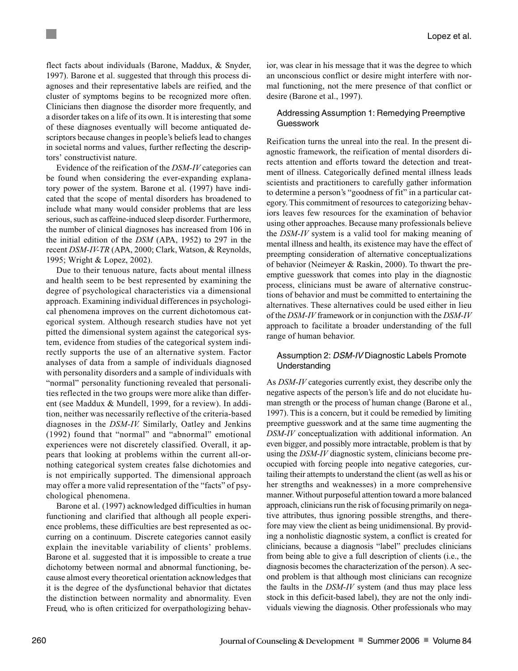flect facts about individuals (Barone, Maddux, & Snyder, 1997). Barone et al. suggested that through this process diagnoses and their representative labels are reified, and the cluster of symptoms begins to be recognized more often. Clinicians then diagnose the disorder more frequently, and a disorder takes on a life of its own. It is interesting that some of these diagnoses eventually will become antiquated descriptors because changes in people's beliefs lead to changes in societal norms and values, further reflecting the descriptors' constructivist nature.

Evidence of the reification of the *DSM-IV* categories can be found when considering the ever-expanding explanatory power of the system. Barone et al. (1997) have indicated that the scope of mental disorders has broadened to include what many would consider problems that are less serious, such as caffeine-induced sleep disorder. Furthermore, the number of clinical diagnoses has increased from 106 in the initial edition of the *DSM* (APA, 1952) to 297 in the recent *DSM-IV-TR* (APA, 2000; Clark, Watson, & Reynolds, 1995; Wright & Lopez, 2002).

Due to their tenuous nature, facts about mental illness and health seem to be best represented by examining the degree of psychological characteristics via a dimensional approach. Examining individual differences in psychological phenomena improves on the current dichotomous categorical system. Although research studies have not yet pitted the dimensional system against the categorical system, evidence from studies of the categorical system indirectly supports the use of an alternative system. Factor analyses of data from a sample of individuals diagnosed with personality disorders and a sample of individuals with "normal" personality functioning revealed that personalities reflected in the two groups were more alike than different (see Maddux & Mundell, 1999, for a review). In addition, neither was necessarily reflective of the criteria-based diagnoses in the *DSM-IV.* Similarly, Oatley and Jenkins (1992) found that "normal" and "abnormal" emotional experiences were not discretely classified. Overall, it appears that looking at problems within the current all-ornothing categorical system creates false dichotomies and is not empirically supported. The dimensional approach may offer a more valid representation of the "facts" of psychological phenomena.

Barone et al. (1997) acknowledged difficulties in human functioning and clarified that although all people experience problems, these difficulties are best represented as occurring on a continuum. Discrete categories cannot easily explain the inevitable variability of clients' problems. Barone et al. suggested that it is impossible to create a true dichotomy between normal and abnormal functioning, because almost every theoretical orientation acknowledges that it is the degree of the dysfunctional behavior that dictates the distinction between normality and abnormality. Even Freud, who is often criticized for overpathologizing behavior, was clear in his message that it was the degree to which an unconscious conflict or desire might interfere with normal functioning, not the mere presence of that conflict or desire (Barone et al., 1997).

# Addressing Assumption 1: Remedying Preemptive Guesswork

Reification turns the unreal into the real. In the present diagnostic framework, the reification of mental disorders directs attention and efforts toward the detection and treatment of illness. Categorically defined mental illness leads scientists and practitioners to carefully gather information to determine a person's "goodness of fit" in a particular category. This commitment of resources to categorizing behaviors leaves few resources for the examination of behavior using other approaches. Because many professionals believe the *DSM-IV* system is a valid tool for making meaning of mental illness and health, its existence may have the effect of preempting consideration of alternative conceptualizations of behavior (Neimeyer & Raskin, 2000). To thwart the preemptive guesswork that comes into play in the diagnostic process, clinicians must be aware of alternative constructions of behavior and must be committed to entertaining the alternatives. These alternatives could be used either in lieu of the *DSM-IV* framework or in conjunction with the *DSM-IV* approach to facilitate a broader understanding of the full range of human behavior.

# Assumption 2: DSM-IV Diagnostic Labels Promote Understanding

As *DSM-IV* categories currently exist, they describe only the negative aspects of the person's life and do not elucidate human strength or the process of human change (Barone et al., 1997). This is a concern, but it could be remedied by limiting preemptive guesswork and at the same time augmenting the *DSM-IV* conceptualization with additional information. An even bigger, and possibly more intractable, problem is that by using the *DSM-IV* diagnostic system, clinicians become preoccupied with forcing people into negative categories, curtailing their attempts to understand the client (as well as his or her strengths and weaknesses) in a more comprehensive manner. Without purposeful attention toward a more balanced approach, clinicians run the risk of focusing primarily on negative attributes, thus ignoring possible strengths, and therefore may view the client as being unidimensional. By providing a nonholistic diagnostic system, a conflict is created for clinicians, because a diagnosis "label" precludes clinicians from being able to give a full description of clients (i.e., the diagnosis becomes the characterization of the person). A second problem is that although most clinicians can recognize the faults in the *DSM-IV* system (and thus may place less stock in this deficit-based label), they are not the only individuals viewing the diagnosis. Other professionals who may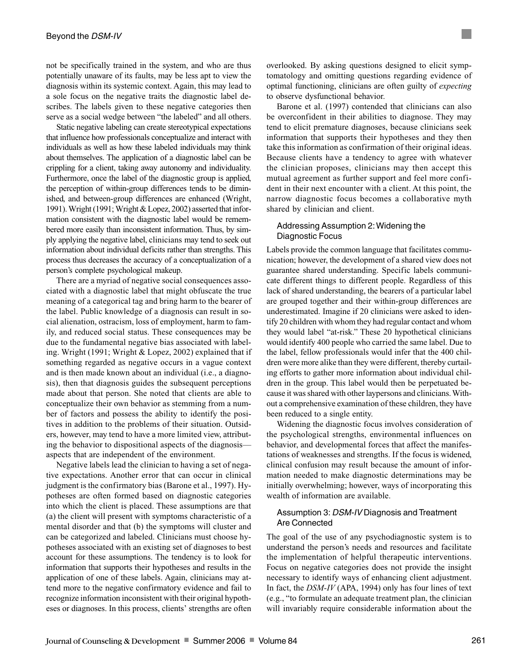not be specifically trained in the system, and who are thus potentially unaware of its faults, may be less apt to view the diagnosis within its systemic context. Again, this may lead to a sole focus on the negative traits the diagnostic label describes. The labels given to these negative categories then serve as a social wedge between "the labeled" and all others.

Static negative labeling can create stereotypical expectations that influence how professionals conceptualize and interact with individuals as well as how these labeled individuals may think about themselves. The application of a diagnostic label can be crippling for a client, taking away autonomy and individuality. Furthermore, once the label of the diagnostic group is applied, the perception of within-group differences tends to be diminished, and between-group differences are enhanced (Wright, 1991). Wright (1991; Wright & Lopez, 2002) asserted that information consistent with the diagnostic label would be remembered more easily than inconsistent information. Thus, by simply applying the negative label, clinicians may tend to seek out information about individual deficits rather than strengths. This process thus decreases the accuracy of a conceptualization of a person's complete psychological makeup.

There are a myriad of negative social consequences associated with a diagnostic label that might obfuscate the true meaning of a categorical tag and bring harm to the bearer of the label. Public knowledge of a diagnosis can result in social alienation, ostracism, loss of employment, harm to family, and reduced social status. These consequences may be due to the fundamental negative bias associated with labeling. Wright (1991; Wright & Lopez, 2002) explained that if something regarded as negative occurs in a vague context and is then made known about an individual (i.e., a diagnosis), then that diagnosis guides the subsequent perceptions made about that person. She noted that clients are able to conceptualize their own behavior as stemming from a number of factors and possess the ability to identify the positives in addition to the problems of their situation. Outsiders, however, may tend to have a more limited view, attributing the behavior to dispositional aspects of the diagnosis aspects that are independent of the environment.

Negative labels lead the clinician to having a set of negative expectations. Another error that can occur in clinical judgment is the confirmatory bias (Barone et al., 1997). Hypotheses are often formed based on diagnostic categories into which the client is placed. These assumptions are that (a) the client will present with symptoms characteristic of a mental disorder and that (b) the symptoms will cluster and can be categorized and labeled. Clinicians must choose hypotheses associated with an existing set of diagnoses to best account for these assumptions. The tendency is to look for information that supports their hypotheses and results in the application of one of these labels. Again, clinicians may attend more to the negative confirmatory evidence and fail to recognize information inconsistent with their original hypotheses or diagnoses. In this process, clients' strengths are often overlooked. By asking questions designed to elicit symptomatology and omitting questions regarding evidence of optimal functioning, clinicians are often guilty of *expecting* to observe dysfunctional behavior.

Barone et al. (1997) contended that clinicians can also be overconfident in their abilities to diagnose. They may tend to elicit premature diagnoses, because clinicians seek information that supports their hypotheses and they then take this information as confirmation of their original ideas. Because clients have a tendency to agree with whatever the clinician proposes, clinicians may then accept this mutual agreement as further support and feel more confident in their next encounter with a client. At this point, the narrow diagnostic focus becomes a collaborative myth shared by clinician and client.

# Addressing Assumption 2: Widening the Diagnostic Focus

Labels provide the common language that facilitates communication; however, the development of a shared view does not guarantee shared understanding. Specific labels communicate different things to different people. Regardless of this lack of shared understanding, the bearers of a particular label are grouped together and their within-group differences are underestimated. Imagine if 20 clinicians were asked to identify 20 children with whom they had regular contact and whom they would label "at-risk." These 20 hypothetical clinicians would identify 400 people who carried the same label. Due to the label, fellow professionals would infer that the 400 children were more alike than they were different, thereby curtailing efforts to gather more information about individual children in the group. This label would then be perpetuated because it was shared with other laypersons and clinicians. Without a comprehensive examination of these children, they have been reduced to a single entity.

Widening the diagnostic focus involves consideration of the psychological strengths, environmental influences on behavior, and developmental forces that affect the manifestations of weaknesses and strengths. If the focus is widened, clinical confusion may result because the amount of information needed to make diagnostic determinations may be initially overwhelming; however, ways of incorporating this wealth of information are available.

# Assumption 3: DSM-IV Diagnosis and Treatment Are Connected

The goal of the use of any psychodiagnostic system is to understand the person's needs and resources and facilitate the implementation of helpful therapeutic interventions. Focus on negative categories does not provide the insight necessary to identify ways of enhancing client adjustment. In fact, the *DSM-IV* (APA, 1994) only has four lines of text (e.g., "to formulate an adequate treatment plan, the clinician will invariably require considerable information about the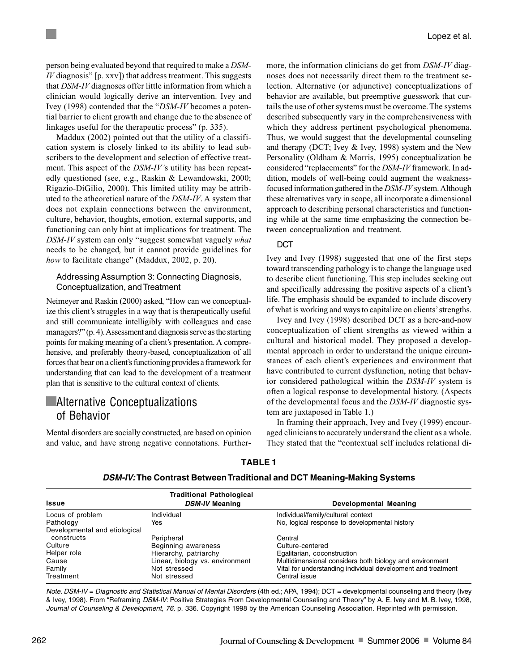person being evaluated beyond that required to make a *DSM-IV* diagnosis" [p. xxv]) that address treatment. This suggests that *DSM-IV* diagnoses offer little information from which a clinician would logically derive an intervention. Ivey and Ivey (1998) contended that the "*DSM-IV* becomes a potential barrier to client growth and change due to the absence of linkages useful for the therapeutic process" (p. 335).

Maddux (2002) pointed out that the utility of a classification system is closely linked to its ability to lead subscribers to the development and selection of effective treatment. This aspect of the *DSM-IV'*s utility has been repeatedly questioned (see, e.g., Raskin & Lewandowski, 2000; Rigazio-DiGilio, 2000). This limited utility may be attributed to the atheoretical nature of the *DSM-IV*. A system that does not explain connections between the environment, culture, behavior, thoughts, emotion, external supports, and functioning can only hint at implications for treatment. The *DSM-IV* system can only "suggest somewhat vaguely *what* needs to be changed, but it cannot provide guidelines for *how* to facilitate change" (Maddux, 2002, p. 20).

## Addressing Assumption 3: Connecting Diagnosis, Conceptualization, and Treatment

Neimeyer and Raskin (2000) asked, "How can we conceptualize this client's struggles in a way that is therapeutically useful and still communicate intelligibly with colleagues and case managers?" (p. 4). Assessment and diagnosis serve as the starting points for making meaning of a client's presentation. A comprehensive, and preferably theory-based, conceptualization of all forces that bear on a client's functioning provides a framework for understanding that can lead to the development of a treatment plan that is sensitive to the cultural context of clients.

# **Alternative Conceptualizations** of Behavior

Mental disorders are socially constructed, are based on opinion and value, and have strong negative connotations. Furthermore, the information clinicians do get from *DSM-IV* diagnoses does not necessarily direct them to the treatment selection. Alternative (or adjunctive) conceptualizations of behavior are available, but preemptive guesswork that curtails the use of other systems must be overcome. The systems described subsequently vary in the comprehensiveness with which they address pertinent psychological phenomena. Thus, we would suggest that the developmental counseling and therapy (DCT; Ivey & Ivey, 1998) system and the New Personality (Oldham & Morris, 1995) conceptualization be considered "replacements" for the *DSM-IV* framework. In addition, models of well-being could augment the weaknessfocused information gathered in the *DSM-IV* system. Although these alternatives vary in scope, all incorporate a dimensional approach to describing personal characteristics and functioning while at the same time emphasizing the connection between conceptualization and treatment.

# DCT

Ivey and Ivey (1998) suggested that one of the first steps toward transcending pathology is to change the language used to describe client functioning. This step includes seeking out and specifically addressing the positive aspects of a client's life. The emphasis should be expanded to include discovery of what is working and ways to capitalize on clients' strengths.

Ivey and Ivey (1998) described DCT as a here-and-now conceptualization of client strengths as viewed within a cultural and historical model. They proposed a developmental approach in order to understand the unique circumstances of each client's experiences and environment that have contributed to current dysfunction, noting that behavior considered pathological within the *DSM-IV* system is often a logical response to developmental history. (Aspects of the developmental focus and the *DSM-IV* diagnostic system are juxtaposed in Table 1.)

In framing their approach, Ivey and Ivey (1999) encouraged clinicians to accurately understand the client as a whole. They stated that the "contextual self includes relational di-

| <b>Issue</b>                  | <b>Traditional Pathological</b><br>DSM-IV Meaning | Developmental Meaning                                        |
|-------------------------------|---------------------------------------------------|--------------------------------------------------------------|
| Locus of problem              | Individual                                        | Individual/family/cultural context                           |
| Pathology                     | Yes                                               | No, logical response to developmental history                |
| Developmental and etiological |                                                   |                                                              |
| constructs                    | Peripheral                                        | Central                                                      |
| Culture                       | Beginning awareness                               | Culture-centered                                             |
| Helper role                   | Hierarchy, patriarchy                             | Egalitarian, coconstruction                                  |
| Cause                         | Linear, biology vs. environment                   | Multidimensional considers both biology and environment      |
| Family                        | Not stressed                                      | Vital for understanding individual development and treatment |
| Treatment                     | Not stressed                                      | Central issue                                                |

# **TABLE 1 DSM-IV: The Contrast Between Traditional and DCT Meaning-Making Systems**

Note. DSM-IV = Diagnostic and Statistical Manual of Mental Disorders (4th ed.; APA, 1994); DCT = developmental counseling and theory (Ivey & Ivey, 1998). From "Reframing DSM-IV: Positive Strategies From Developmental Counseling and Theory" by A. E. Ivey and M. B. Ivey, 1998, Journal of Counseling & Development, 76, p. 336. Copyright 1998 by the American Counseling Association. Reprinted with permission.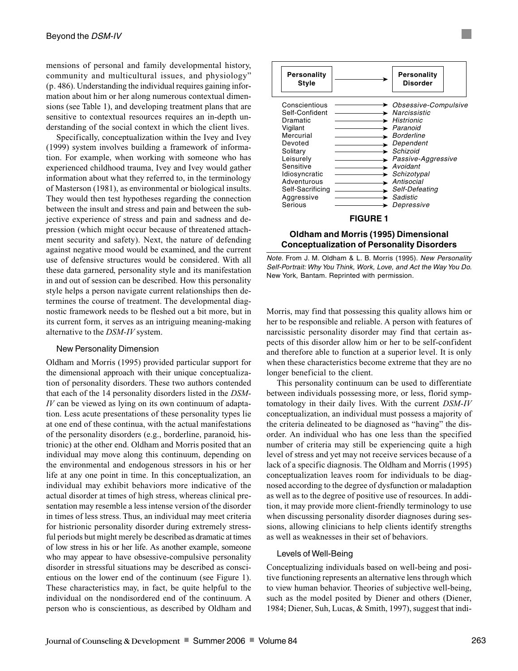mensions of personal and family developmental history, community and multicultural issues, and physiology" (p. 486). Understanding the individual requires gaining information about him or her along numerous contextual dimensions (see Table 1), and developing treatment plans that are sensitive to contextual resources requires an in-depth understanding of the social context in which the client lives.

Specifically, conceptualization within the Ivey and Ivey (1999) system involves building a framework of information. For example, when working with someone who has experienced childhood trauma, Ivey and Ivey would gather information about what they referred to, in the terminology of Masterson (1981), as environmental or biological insults. They would then test hypotheses regarding the connection between the insult and stress and pain and between the subjective experience of stress and pain and sadness and depression (which might occur because of threatened attachment security and safety). Next, the nature of defending against negative mood would be examined, and the current use of defensive structures would be considered. With all these data garnered, personality style and its manifestation in and out of session can be described. How this personality style helps a person navigate current relationships then determines the course of treatment. The developmental diagnostic framework needs to be fleshed out a bit more, but in its current form, it serves as an intriguing meaning-making alternative to the *DSM-IV* system.

#### New Personality Dimension

Oldham and Morris (1995) provided particular support for the dimensional approach with their unique conceptualization of personality disorders. These two authors contended that each of the 14 personality disorders listed in the *DSM-IV* can be viewed as lying on its own continuum of adaptation. Less acute presentations of these personality types lie at one end of these continua, with the actual manifestations of the personality disorders (e.g., borderline, paranoid, histrionic) at the other end. Oldham and Morris posited that an individual may move along this continuum, depending on the environmental and endogenous stressors in his or her life at any one point in time. In this conceptualization, an individual may exhibit behaviors more indicative of the actual disorder at times of high stress, whereas clinical presentation may resemble a less intense version of the disorder in times of less stress. Thus, an individual may meet criteria for histrionic personality disorder during extremely stressful periods but might merely be described as dramatic at times of low stress in his or her life. As another example, someone who may appear to have obsessive-compulsive personality disorder in stressful situations may be described as conscientious on the lower end of the continuum (see Figure 1). These characteristics may, in fact, be quite helpful to the individual on the nondisordered end of the continuum. A person who is conscientious, as described by Oldham and



## **Oldham and Morris (1995) Dimensional Conceptualization of Personality Disorders**

Note. From J. M. Oldham & L. B. Morris (1995). New Personality Self-Portrait: Why You Think, Work, Love, and Act the Way You Do. New York, Bantam. Reprinted with permission.

Morris, may find that possessing this quality allows him or her to be responsible and reliable. A person with features of narcissistic personality disorder may find that certain aspects of this disorder allow him or her to be self-confident and therefore able to function at a superior level. It is only when these characteristics become extreme that they are no longer beneficial to the client.

This personality continuum can be used to differentiate between individuals possessing more, or less, florid symptomatology in their daily lives. With the current *DSM-IV* conceptualization, an individual must possess a majority of the criteria delineated to be diagnosed as "having" the disorder. An individual who has one less than the specified number of criteria may still be experiencing quite a high level of stress and yet may not receive services because of a lack of a specific diagnosis. The Oldham and Morris (1995) conceptualization leaves room for individuals to be diagnosed according to the degree of dysfunction or maladaption as well as to the degree of positive use of resources. In addition, it may provide more client-friendly terminology to use when discussing personality disorder diagnoses during sessions, allowing clinicians to help clients identify strengths as well as weaknesses in their set of behaviors.

#### Levels of Well-Being

Conceptualizing individuals based on well-being and positive functioning represents an alternative lens through which to view human behavior. Theories of subjective well-being, such as the model posited by Diener and others (Diener, 1984; Diener, Suh, Lucas, & Smith, 1997), suggest that indi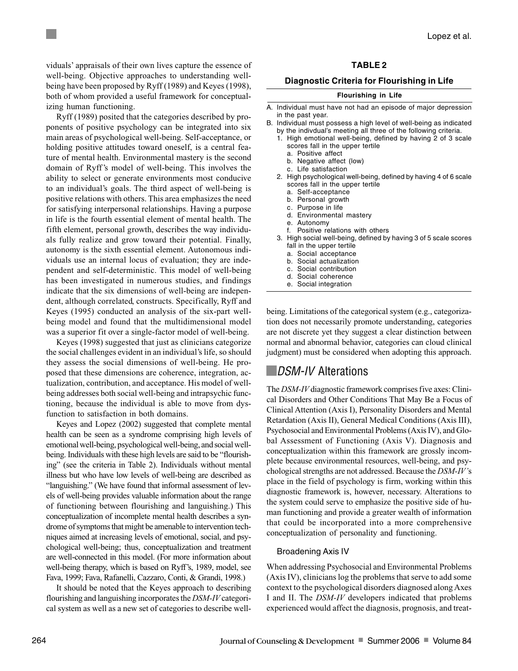viduals' appraisals of their own lives capture the essence of well-being. Objective approaches to understanding wellbeing have been proposed by Ryff (1989) and Keyes (1998), both of whom provided a useful framework for conceptualizing human functioning.

Ryff (1989) posited that the categories described by proponents of positive psychology can be integrated into six main areas of psychological well-being. Self-acceptance, or holding positive attitudes toward oneself, is a central feature of mental health. Environmental mastery is the second domain of Ryff's model of well-being. This involves the ability to select or generate environments most conducive to an individual's goals. The third aspect of well-being is positive relations with others. This area emphasizes the need for satisfying interpersonal relationships. Having a purpose in life is the fourth essential element of mental health. The fifth element, personal growth, describes the way individuals fully realize and grow toward their potential. Finally, autonomy is the sixth essential element. Autonomous individuals use an internal locus of evaluation; they are independent and self-deterministic. This model of well-being has been investigated in numerous studies, and findings indicate that the six dimensions of well-being are independent, although correlated, constructs. Specifically, Ryff and Keyes (1995) conducted an analysis of the six-part wellbeing model and found that the multidimensional model was a superior fit over a single-factor model of well-being.

Keyes (1998) suggested that just as clinicians categorize the social challenges evident in an individual's life, so should they assess the social dimensions of well-being. He proposed that these dimensions are coherence, integration, actualization, contribution, and acceptance. His model of wellbeing addresses both social well-being and intrapsychic functioning, because the individual is able to move from dysfunction to satisfaction in both domains.

Keyes and Lopez (2002) suggested that complete mental health can be seen as a syndrome comprising high levels of emotional well-being, psychological well-being, and social wellbeing. Individuals with these high levels are said to be "flourishing" (see the criteria in Table 2). Individuals without mental illness but who have low levels of well-being are described as "languishing." (We have found that informal assessment of levels of well-being provides valuable information about the range of functioning between flourishing and languishing.) This conceptualization of incomplete mental health describes a syndrome of symptoms that might be amenable to intervention techniques aimed at increasing levels of emotional, social, and psychological well-being; thus, conceptualization and treatment are well-connected in this model. (For more information about well-being therapy, which is based on Ryff's, 1989, model, see Fava, 1999; Fava, Rafanelli, Cazzaro, Conti, & Grandi, 1998.)

It should be noted that the Keyes approach to describing flourishing and languishing incorporates the *DSM-IV* categorical system as well as a new set of categories to describe well-

# **TABLE 2**

### **Diagnostic Criteria for Flourishing in Life**

#### **Flourishing in Life**

A. Individual must have not had an episode of major depression in the past year.

B. Individual must possess a high level of well-being as indicated by the indivdual's meeting all three of the following criteria.

- 1. High emotional well-being, defined by having 2 of 3 scale scores fall in the upper tertile
	- a. Positive affect
	- b. Negative affect (low)
	- c. Life satisfaction
- 2. High psychological well-being, defined by having 4 of 6 scale scores fall in the upper tertile
	- a. Self-acceptance
	- b. Personal growth
	- c. Purpose in life
	- d. Environmental mastery
	- e. Autonomy
- f. Positive relations with others
- 3. High social well-being, defined by having 3 of 5 scale scores fall in the upper tertile
	- a. Social acceptance
	- b. Social actualization
	- c. Social contribution
	- d. Social coherence
	- e. Social integration

being. Limitations of the categorical system (e.g., categorization does not necessarily promote understanding, categories are not discrete yet they suggest a clear distinction between normal and abnormal behavior, categories can cloud clinical judgment) must be considered when adopting this approach.

# DSM-IV Alterations

The *DSM-IV* diagnostic framework comprises five axes: Clinical Disorders and Other Conditions That May Be a Focus of Clinical Attention (Axis I), Personality Disorders and Mental Retardation (Axis II), General Medical Conditions (Axis III), Psychosocial and Environmental Problems (Axis IV), and Global Assessment of Functioning (Axis V). Diagnosis and conceptualization within this framework are grossly incomplete because environmental resources, well-being, and psychological strengths are not addressed. Because the *DSM-IV'*s place in the field of psychology is firm, working within this diagnostic framework is, however, necessary. Alterations to the system could serve to emphasize the positive side of human functioning and provide a greater wealth of information that could be incorporated into a more comprehensive conceptualization of personality and functioning.

## Broadening Axis IV

When addressing Psychosocial and Environmental Problems (Axis IV), clinicians log the problems that serve to add some context to the psychological disorders diagnosed along Axes I and II. The *DSM-IV* developers indicated that problems experienced would affect the diagnosis, prognosis, and treat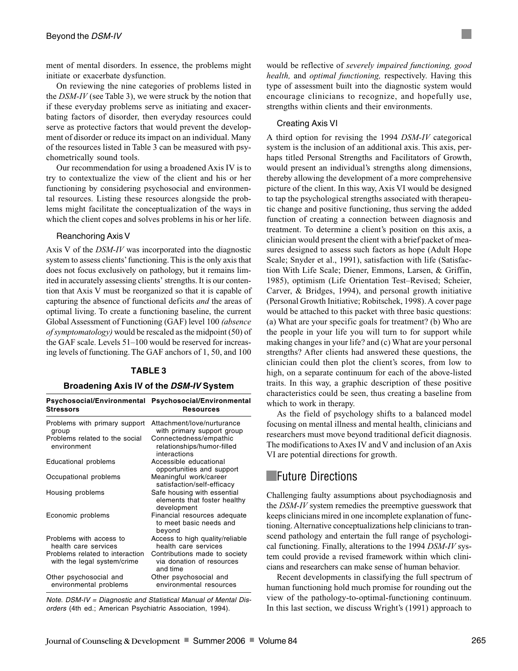ment of mental disorders. In essence, the problems might initiate or exacerbate dysfunction.

On reviewing the nine categories of problems listed in the *DSM-IV* (see Table 3), we were struck by the notion that if these everyday problems serve as initiating and exacerbating factors of disorder, then everyday resources could serve as protective factors that would prevent the development of disorder or reduce its impact on an individual. Many of the resources listed in Table 3 can be measured with psychometrically sound tools.

Our recommendation for using a broadened Axis IV is to try to contextualize the view of the client and his or her functioning by considering psychosocial and environmental resources. Listing these resources alongside the problems might facilitate the conceptualization of the ways in which the client copes and solves problems in his or her life.

## Reanchoring Axis V

Axis V of the *DSM-IV* was incorporated into the diagnostic system to assess clients' functioning. This is the only axis that does not focus exclusively on pathology, but it remains limited in accurately assessing clients' strengths. It is our contention that Axis V must be reorganized so that it is capable of capturing the absence of functional deficits *and* the areas of optimal living. To create a functioning baseline, the current Global Assessment of Functioning (GAF) level 100 *(absence of symptomatology)* would be rescaled as the midpoint (50) of the GAF scale. Levels 51–100 would be reserved for increasing levels of functioning. The GAF anchors of 1, 50, and 100

## **TABLE 3**

## **Broadening Axis IV of the DSM-IV System**

| Psychosocial/Environmental<br><b>Stressors</b>                 | <b>Psychosocial/Environmental</b><br><b>Resources</b>                      |  |
|----------------------------------------------------------------|----------------------------------------------------------------------------|--|
| Problems with primary support<br>group                         | Attachment/love/nurturance<br>with primary support group                   |  |
| Problems related to the social<br>environment                  | Connectedness/empathic<br>relationships/humor-filled<br>interactions       |  |
| Educational problems                                           | Accessible educational<br>opportunities and support                        |  |
| Occupational problems                                          | Meaningful work/career<br>satisfaction/self-efficacy                       |  |
| Housing problems                                               | Safe housing with essential<br>elements that foster healthy<br>development |  |
| Economic problems                                              | Financial resources adequate<br>to meet basic needs and<br>beyond          |  |
| Problems with access to<br>health care services                | Access to high quality/reliable<br>health care services                    |  |
| Problems related to interaction<br>with the legal system/crime | Contributions made to society<br>via donation of resources<br>and time     |  |
| Other psychosocial and<br>environmental problems               | Other psychosocial and<br>environmental resources                          |  |

Note. DSM-IV = Diagnostic and Statistical Manual of Mental Disorders (4th ed.; American Psychiatric Association, 1994).

would be reflective of *severely impaired functioning, good health,* and *optimal functioning,* respectively. Having this type of assessment built into the diagnostic system would encourage clinicians to recognize, and hopefully use, strengths within clients and their environments.

# Creating Axis VI

A third option for revising the 1994 *DSM-IV* categorical system is the inclusion of an additional axis. This axis, perhaps titled Personal Strengths and Facilitators of Growth, would present an individual's strengths along dimensions, thereby allowing the development of a more comprehensive picture of the client. In this way, Axis VI would be designed to tap the psychological strengths associated with therapeutic change and positive functioning, thus serving the added function of creating a connection between diagnosis and treatment. To determine a client's position on this axis, a clinician would present the client with a brief packet of measures designed to assess such factors as hope (Adult Hope Scale; Snyder et al., 1991), satisfaction with life (Satisfaction With Life Scale; Diener, Emmons, Larsen, & Griffin, 1985), optimism (Life Orientation Test–Revised; Scheier, Carver, & Bridges, 1994), and personal growth initiative (Personal Growth Initiative; Robitschek, 1998). A cover page would be attached to this packet with three basic questions: (a) What are your specific goals for treatment? (b) Who are the people in your life you will turn to for support while making changes in your life? and (c) What are your personal strengths? After clients had answered these questions, the clinician could then plot the client's scores, from low to high, on a separate continuum for each of the above-listed traits. In this way, a graphic description of these positive characteristics could be seen, thus creating a baseline from which to work in therapy.

As the field of psychology shifts to a balanced model focusing on mental illness and mental health, clinicians and researchers must move beyond traditional deficit diagnosis. The modifications to Axes IV and V and inclusion of an Axis VI are potential directions for growth.

# **Future Directions**

Challenging faulty assumptions about psychodiagnosis and the *DSM-IV* system remedies the preemptive guesswork that keeps clinicians mired in one incomplete explanation of functioning. Alternative conceptualizations help clinicians to transcend pathology and entertain the full range of psychological functioning. Finally, alterations to the 1994 *DSM-IV* system could provide a revised framework within which clinicians and researchers can make sense of human behavior.

Recent developments in classifying the full spectrum of human functioning hold much promise for rounding out the view of the pathology-to-optimal-functioning continuum. In this last section, we discuss Wright's (1991) approach to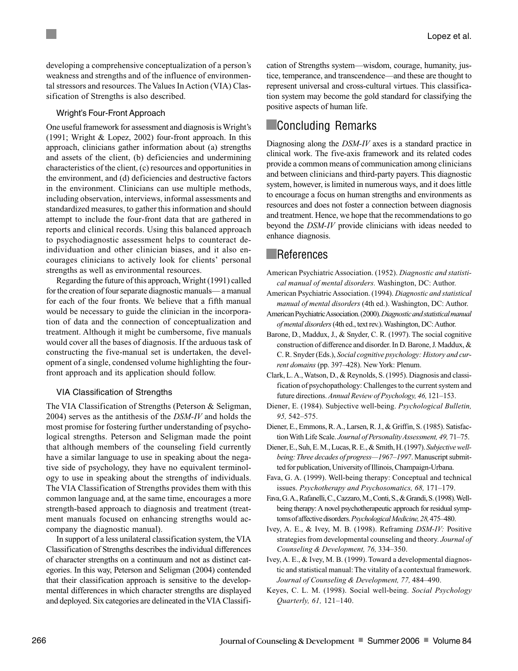developing a comprehensive conceptualization of a person's weakness and strengths and of the influence of environmental stressors and resources. The Values In Action (VIA) Classification of Strengths is also described.

# Wright's Four-Front Approach

One useful framework for assessment and diagnosis is Wright's (1991; Wright & Lopez, 2002) four-front approach. In this approach, clinicians gather information about (a) strengths and assets of the client, (b) deficiencies and undermining characteristics of the client, (c) resources and opportunities in the environment, and (d) deficiencies and destructive factors in the environment. Clinicians can use multiple methods, including observation, interviews, informal assessments and standardized measures, to gather this information and should attempt to include the four-front data that are gathered in reports and clinical records. Using this balanced approach to psychodiagnostic assessment helps to counteract deindividuation and other clinician biases, and it also encourages clinicians to actively look for clients' personal strengths as well as environmental resources.

Regarding the future of this approach, Wright (1991) called for the creation of four separate diagnostic manuals— a manual for each of the four fronts. We believe that a fifth manual would be necessary to guide the clinician in the incorporation of data and the connection of conceptualization and treatment. Although it might be cumbersome, five manuals would cover all the bases of diagnosis. If the arduous task of constructing the five-manual set is undertaken, the development of a single, condensed volume highlighting the fourfront approach and its application should follow.

## VIA Classification of Strengths

The VIA Classification of Strengths (Peterson & Seligman, 2004) serves as the antithesis of the *DSM-IV* and holds the most promise for fostering further understanding of psychological strengths. Peterson and Seligman made the point that although members of the counseling field currently have a similar language to use in speaking about the negative side of psychology, they have no equivalent terminology to use in speaking about the strengths of individuals. The VIA Classification of Strengths provides them with this common language and, at the same time, encourages a more strength-based approach to diagnosis and treatment (treatment manuals focused on enhancing strengths would accompany the diagnostic manual).

In support of a less unilateral classification system, the VIA Classification of Strengths describes the individual differences of character strengths on a continuum and not as distinct categories. In this way, Peterson and Seligman (2004) contended that their classification approach is sensitive to the developmental differences in which character strengths are displayed and deployed. Six categories are delineated in the VIA Classification of Strengths system—wisdom, courage, humanity, justice, temperance, and transcendence—and these are thought to represent universal and cross-cultural virtues. This classification system may become the gold standard for classifying the positive aspects of human life.

# Concluding Remarks

Diagnosing along the *DSM-IV* axes is a standard practice in clinical work. The five-axis framework and its related codes provide a common means of communication among clinicians and between clinicians and third-party payers. This diagnostic system, however, is limited in numerous ways, and it does little to encourage a focus on human strengths and environments as resources and does not foster a connection between diagnosis and treatment. Hence, we hope that the recommendations to go beyond the *DSM-IV* provide clinicians with ideas needed to enhance diagnosis.

# **References**

- American Psychiatric Association. (1952). *Diagnostic and statistical manual of mental disorders.* Washington, DC: Author.
- American Psychiatric Association. (1994). *Diagnostic and statistical manual of mental disorders* (4th ed.). Washington, DC: Author.
- American Psychiatric Association. (2000). *Diagnostic and statistical manual of mental disorders* (4th ed., text rev.). Washington, DC: Author.
- Barone, D., Maddux, J., & Snyder, C. R. (1997). The social cognitive construction of difference and disorder. In D. Barone, J. Maddux, & C. R. Snyder (Eds.), *Social cognitive psychology: History and current domains* (pp. 397–428). New York: Plenum.
- Clark, L. A., Watson, D., & Reynolds, S. (1995). Diagnosis and classification of psychopathology: Challenges to the current system and future directions. *Annual Review of Psychology, 46,* 121–153.
- Diener, E. (1984). Subjective well-being. *Psychological Bulletin, 95,* 542–575.
- Diener, E., Emmons, R. A., Larsen, R. J., & Griffin, S. (1985). Satisfaction With Life Scale. *Journal of Personality Assessment, 49,* 71–75.
- Diener, E., Suh, E. M., Lucas, R. E., & Smith, H. (1997). *Subjective wellbeing: Three decades of progress—1967–1997*. Manuscript submitted for publication, University of Illinois, Champaign-Urbana.
- Fava, G. A. (1999). Well-being therapy: Conceptual and technical issues. *Psychotherapy and Psychosomatics, 68,* 171–179.
- Fava, G. A., Rafanelli, C., Cazzaro, M., Conti, S., & Grandi, S. (1998). Wellbeing therapy: A novel psychotherapeutic approach for residual symptoms of affective disorders. *Psychological Medicine, 28,* 475–480.
- Ivey, A. E., & Ivey, M. B. (1998). Reframing *DSM-IV:* Positive strategies from developmental counseling and theory. *Journal of Counseling & Development, 76,* 334–350.
- Ivey, A. E., & Ivey, M. B. (1999). Toward a developmental diagnostic and statistical manual: The vitality of a contextual framework. *Journal of Counseling & Development, 77,* 484–490.
- Keyes, C. L. M. (1998). Social well-being. *Social Psychology Quarterly, 61,* 121–140.